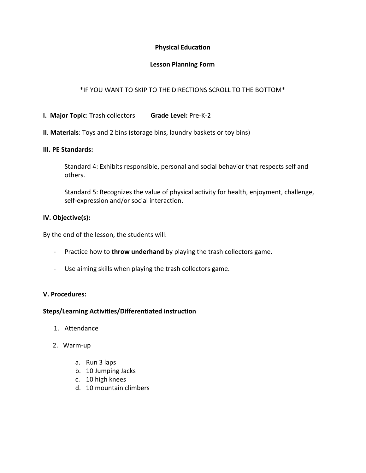# **Physical Education**

# **Lesson Planning Form**

# \*IF YOU WANT TO SKIP TO THE DIRECTIONS SCROLL TO THE BOTTOM\*

**I. Major Topic**: Trash collectors **Grade Level:** Pre-K-2

## **II**. **Materials**: Toys and 2 bins (storage bins, laundry baskets or toy bins)

#### **III. PE Standards:**

Standard 4: Exhibits responsible, personal and social behavior that respects self and others.

Standard 5: Recognizes the value of physical activity for health, enjoyment, challenge, self-expression and/or social interaction.

#### **IV. Objective(s):**

By the end of the lesson, the students will:

- Practice how to **throw underhand** by playing the trash collectors game.
- Use aiming skills when playing the trash collectors game.

## **V. Procedures:**

## **Steps/Learning Activities/Differentiated instruction**

- 1. Attendance
- 2. Warm-up
	- a. Run 3 laps
	- b. 10 Jumping Jacks
	- c. 10 high knees
	- d. 10 mountain climbers